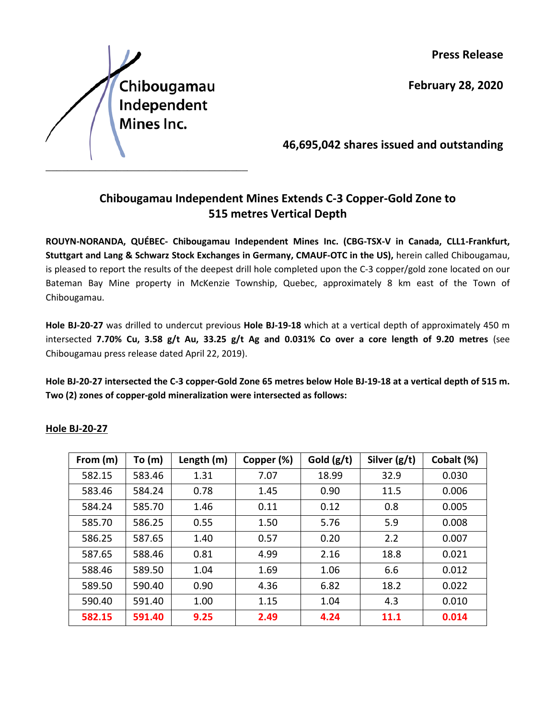**Press Release**

**February 28, 2020**

Chibougamau Independent Mines Inc.

**46,695,042 shares issued and outstanding**

# **Chibougamau Independent Mines Extends C-3 Copper-Gold Zone to 515 metres Vertical Depth**

\_\_\_\_\_\_\_\_\_\_\_\_\_\_\_\_\_\_\_\_\_\_\_\_\_\_\_\_\_\_\_\_\_\_\_\_\_\_\_\_\_\_\_\_\_\_\_\_\_\_\_\_\_\_\_\_\_\_\_\_\_\_\_\_\_\_\_\_\_\_\_\_\_\_\_\_\_\_\_\_\_\_\_\_\_

**ROUYN-NORANDA, QUÉBEC- Chibougamau Independent Mines Inc. (CBG-TSX-V in Canada, CLL1-Frankfurt, Stuttgart and Lang & Schwarz Stock Exchanges in Germany, CMAUF-OTC in the US),** herein called Chibougamau, is pleased to report the results of the deepest drill hole completed upon the C-3 copper/gold zone located on our Bateman Bay Mine property in McKenzie Township, Quebec, approximately 8 km east of the Town of Chibougamau.

**Hole BJ-20-27** was drilled to undercut previous **Hole BJ-19-18** which at a vertical depth of approximately 450 m intersected **7.70% Cu, 3.58 g/t Au, 33.25 g/t Ag and 0.031% Co over a core length of 9.20 metres** (see Chibougamau press release dated April 22, 2019).

**Hole BJ-20-27 intersected the C-3 copper-Gold Zone 65 metres below Hole BJ-19-18 at a vertical depth of 515 m. Two (2) zones of copper-gold mineralization were intersected as follows:** 

| From (m) | To $(m)$ | Length (m) | Copper (%) | Gold $(g/t)$ | Silver (g/t) | Cobalt (%) |
|----------|----------|------------|------------|--------------|--------------|------------|
| 582.15   | 583.46   | 1.31       | 7.07       | 18.99        | 32.9         | 0.030      |
| 583.46   | 584.24   | 0.78       | 1.45       | 0.90         | 11.5         | 0.006      |
| 584.24   | 585.70   | 1.46       | 0.11       | 0.12         | 0.8          | 0.005      |
| 585.70   | 586.25   | 0.55       | 1.50       | 5.76         | 5.9          | 0.008      |
| 586.25   | 587.65   | 1.40       | 0.57       | 0.20         | 2.2          | 0.007      |
| 587.65   | 588.46   | 0.81       | 4.99       | 2.16         | 18.8         | 0.021      |
| 588.46   | 589.50   | 1.04       | 1.69       | 1.06         | 6.6          | 0.012      |
| 589.50   | 590.40   | 0.90       | 4.36       | 6.82         | 18.2         | 0.022      |
| 590.40   | 591.40   | 1.00       | 1.15       | 1.04         | 4.3          | 0.010      |
| 582.15   | 591.40   | 9.25       | 2.49       | 4.24         | 11.1         | 0.014      |

## **Hole BJ-20-27**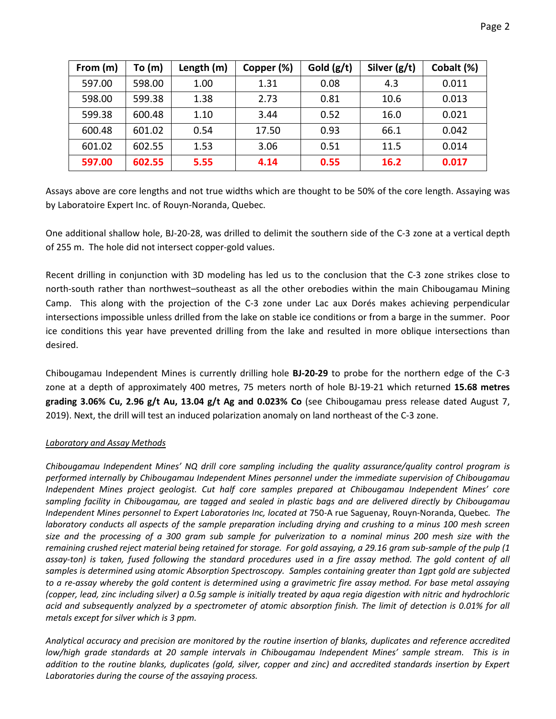| From (m) | To (m) | Length (m) | Copper (%) | Gold $(g/t)$ | Silver $(g/t)$ | Cobalt (%) |
|----------|--------|------------|------------|--------------|----------------|------------|
| 597.00   | 598.00 | 1.00       | 1.31       | 0.08         | 4.3            | 0.011      |
| 598.00   | 599.38 | 1.38       | 2.73       | 0.81         | 10.6           | 0.013      |
| 599.38   | 600.48 | 1.10       | 3.44       | 0.52         | 16.0           | 0.021      |
| 600.48   | 601.02 | 0.54       | 17.50      | 0.93         | 66.1           | 0.042      |
| 601.02   | 602.55 | 1.53       | 3.06       | 0.51         | 11.5           | 0.014      |
| 597.00   | 602.55 | 5.55       | 4.14       | 0.55         | 16.2           | 0.017      |

Assays above are core lengths and not true widths which are thought to be 50% of the core length. Assaying was by Laboratoire Expert Inc. of Rouyn-Noranda, Quebec.

One additional shallow hole, BJ-20-28, was drilled to delimit the southern side of the C-3 zone at a vertical depth of 255 m. The hole did not intersect copper-gold values.

Recent drilling in conjunction with 3D modeling has led us to the conclusion that the C-3 zone strikes close to north-south rather than northwest–southeast as all the other orebodies within the main Chibougamau Mining Camp. This along with the projection of the C-3 zone under Lac aux Dorés makes achieving perpendicular intersections impossible unless drilled from the lake on stable ice conditions or from a barge in the summer. Poor ice conditions this year have prevented drilling from the lake and resulted in more oblique intersections than desired.

Chibougamau Independent Mines is currently drilling hole **BJ-20-29** to probe for the northern edge of the C-3 zone at a depth of approximately 400 metres, 75 meters north of hole BJ-19-21 which returned **15.68 metres grading 3.06% Cu, 2.96 g/t Au, 13.04 g/t Ag and 0.023% Co** (see Chibougamau press release dated August 7, 2019). Next, the drill will test an induced polarization anomaly on land northeast of the C-3 zone.

### *Laboratory and Assay Methods*

*Chibougamau Independent Mines' NQ drill core sampling including the quality assurance/quality control program is performed internally by Chibougamau Independent Mines personnel under the immediate supervision of Chibougamau Independent Mines project geologist. Cut half core samples prepared at Chibougamau Independent Mines' core sampling facility in Chibougamau, are tagged and sealed in plastic bags and are delivered directly by Chibougamau Independent Mines personnel to Expert Laboratories Inc, located at* 750-A rue Saguenay, Rouyn-Noranda, Quebec*. The laboratory conducts all aspects of the sample preparation including drying and crushing to a minus 100 mesh screen size and the processing of a 300 gram sub sample for pulverization to a nominal minus 200 mesh size with the remaining crushed reject material being retained for storage. For gold assaying, a 29.16 gram sub-sample of the pulp (1*  assay-ton) is taken, fused following the standard procedures used in a fire assay method. The gold content of all *samples is determined using atomic Absorption Spectroscopy. Samples containing greater than 1gpt gold are subjected to a re-assay whereby the gold content is determined using a gravimetric fire assay method. For base metal assaying (copper, lead, zinc including silver) a 0.5g sample is initially treated by aqua regia digestion with nitric and hydrochloric acid and subsequently analyzed by a spectrometer of atomic absorption finish. The limit of detection is 0.01% for all metals except for silver which is 3 ppm.*

*Analytical accuracy and precision are monitored by the routine insertion of blanks, duplicates and reference accredited low/high grade standards at 20 sample intervals in Chibougamau Independent Mines' sample stream. This is in addition to the routine blanks, duplicates (gold, silver, copper and zinc) and accredited standards insertion by Expert Laboratories during the course of the assaying process.*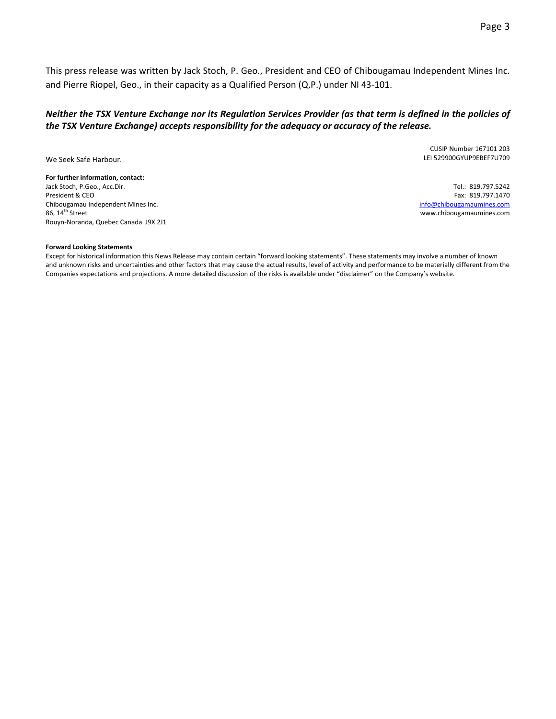This press release was written by Jack Stoch, P. Geo., President and CEO of Chibougamau Independent Mines Inc. and Pierre Riopel, Geo., in their capacity as a Qualified Person (Q.P.) under NI 43-101.

### *Neither the TSX Venture Exchange nor its Regulation Services Provider (as that term is defined in the policies of the TSX Venture Exchange) accepts responsibility for the adequacy or accuracy of the release.*

We Seek Safe Harbour.

**For further information, contact:** Jack Stoch, P.Geo., Acc.Dir. President & CEO Chibougamau Independent Mines Inc.  $86, 14$ <sup>th</sup> Street Rouyn-Noranda, Quebec Canada J9X 2J1

CUSIP Number 167101 203 LEI 529900GYUP9EBEF7U709

Tel.: 819.797.5242 Fax: 819.797.1470 [info@chibougamaumines.com](mailto:info@chibougamaumines.com) www.chibougamaumines.com

#### **Forward Looking Statements**

Except for historical information this News Release may contain certain "forward looking statements". These statements may involve a number of known and unknown risks and uncertainties and other factors that may cause the actual results, level of activity and performance to be materially different from the Companies expectations and projections. A more detailed discussion of the risks is available under "disclaimer" on the Company's website.